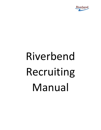

## Riverbend Recruiting Manual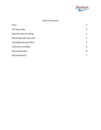

## Table of Contents

| Intro                    | 3              |
|--------------------------|----------------|
| The basic idea           | 3              |
| Step-by-step recruiting  | $\overline{4}$ |
| Recruiting with your why | 5              |
| Including how and what   | 5              |
| Tools for recruiting     | 6              |
| <b>Recruiting hacks</b>  | 6              |
| Documentation            | 7              |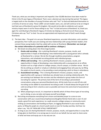

Thank you, what you are doing is important and impactful. 0ver 30,000 decisions have been made for Christ in the 55-year legacy of Riverbend. That is over a decision per day during that period. This legacy is largely built on the shoulders of young Christians who said "Yes!" to God and dedicated themselves to a ministry of service at camp. These 2,000+ servant leaders were, are, and will continue to be an integral tool God uses at Riverbend to grow His kingdom. We would not be able to celebrate such a great ministry impact were it not for those willing to say "Yes!" to God and serve at Riverbend. So, thank you again for contributing to Riverbend's legacy of ministry by helping us find and recruit those young Christians who say "Yes!" to God. You are an appreciated and important part of God's work through Riverbend.

- 1) The basic idea The goal is to use your Riverbend experience, accurate information, and a positive perspective; Pair it with your pre-existing and new relationships with young Christian leaders; And connect those young leaders God has called with service at Riverbend. **(Remember: we must get the contact information of a potential staff to continue a dialogue.)**
	- a) We break recruiting down into three large buckets
		- i) **Onsite cold recruiting** this is pitching Riverbend's mission, purpose, results, and opportunities in hopes of developing a new relationship with a young person who is already at Riverbend for a retreat. We do this through mealtime presentations, program interactions, and scheduled recruiting pitches with individual groups.
		- ii) **Offsite cold recruiting** this is pitching Riverbend's mission, purpose, results, and opportunities in hopes of developing a new relationship with a young person at an offsite location such as a high school or college campus, church campus, or another venue. We do this by setting up a booth or simply an individual and engaging those who pass by, by filling the pulpit at church events, or by providing a meal and giving a pitch to those in attendance.
		- iii) **Associational recruiting** This is sharing Riverbend's mission, purpose, results, and opportunities with a group or individual you already have an existing relationship with. The pre-existing trust between the recruiter and the individual or group makes this form of recruiting far superior. The primary tool of this form of recruiting is personalized conversations using your personal Riverbend story. All the tools from on and off-site cold recruiting can be added to associational recruiting as well. It should always be the goal of all cold recruiting to form a bond as soon as possible and move into some level of associational recruiting.
		- iv) When preparing to recruit, it is important to identify which of these three types of recruiting you're doing, so you can plan and equip yourself accordingly.
	- b) Recruiting encompasses everything from sincere and detailed prayer to a one-on-one conversation with your cousin/niece/nephew/son/daughter/family friend who is over 15 and needs a great first work experience, to a walk around a college campus or community event striking up conversations and handing out flyers, to tagging Riverbend in your social media posts, to filling the pulpit at a church youth event or even for Sunday worship. And hear me when I say, "ALL OF THEM ARE VITALLY IMPORTANT!"
	- c) As long as you are sharing Riverbend's mission, purpose, results, and opportunities in a way that brings glory to God there is no wrong way to recruit on our behalf, but we want to share some of what we know and equip you in any way we can.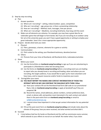

## 2) Step-by-step recruiting

- a) Plan
	- i) Answer questions
		- (1) Where am I recruiting? setting, indoor/outdoor, space, competition
		- (2) Who am I recruiting? age, group size, is there a preexisting relationship
		- (3) How am I recruiting? Method, tools, messages, time per person
		- (4) When am I recruiting? Mealtime, recruiting timeframe, how long until the event
	- ii) Make sure all elements are cohesive. For example, you may have a great idea for an icebreaker game that will begin to form bonds. But if you are recruiting at an outdoor camp fair set at the university quad, you won't have a good opportunity or setting to employ your great icebreaker. Save it for a more appropriate opportunity.
- b) Prepare decide what tools you need.
	- i) Physical
		- (1) Fliers, giveaways, a banner, elements for a game or activity
	- ii) Communication
		- (1) Pitch suited to the setting, your Riverbend testimony, devotion/sermon
	- iii) Others
		- (1) Pictures from your time at Riverbend, old Riverbend shirts, Icebreakers/activities
- c) Share
	- i) Before your event
		- (1) Use the forms/links on **riverbend.camp/recruiting** to sign-up if you are volunteering to participate in a Riverbend or other led recruiting event.
		- (2) Use the forms on **riverbend.camp/recruiting** before a recruiting event you are leading to report who you already know is recruiting and leading, when and where you are recruiting, the target audience, if you would like to open up for more volunteers and how many, and to request resources and/or funds to maximize your event.
	- ii) During/after your event
		- **(1) YOU MUST REPORT THE NAMES AND CONTACT INFORMATION OF THOSE YOU INTERACT WITH SO WE CAN CONTINUE THE DIALOGUE WITH THEM. Either**
			- (a) Have your contacts fill out the Riverbend lead form (QR code on our promotional flyers, link on **riverbend.camp/recruiting** or apply at bendstaff.org if they are prepared. **Or**
			- (b) Record the names, email addresses, phone numbers, contact preference (text, email, or phone call), and position most interested in for each contact and submit them in the post-event form on **riverbend.camp/recruiting** or email to [will@riverbendretreat.org](mailto:will@riverbendretreat.org)
			- (c) I cannot stress how important it is that we get contact information for any potential staff.
		- (2) Fill out the post-event form on **riverbend.camp/recruiting** and include notes about the climate of the group, how you were received, and what worked and what didn't.
- d) Succeed
	- i) I truly believe God has His hands on Riverbend and the staff we commission every summer, which extends to your efforts to recruit on our behalf. No matter what, if you share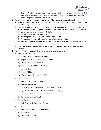

Riverbend's mission, purpose, results, and opportunities in a way that brings glory to God, regardless of how many young people share their information or apply, the event has planted kingdom seeds and is a success.

- 3) Recruiting with your why instead of your what When speaking to potential staff
	- a) When people are faced with options they will "buy why you do what you do, not what you are actually selling" – Simon Sinek
	- b) Focus on why Riverbend exists and why Riverbend is important to you. Then focus on How we achieve growth for God's kingdom, and then, if time allows, tell all the details about pay and living arrangements, and numbers of all kinds.
	- c) Why do we do what we do at Riverbend?
		- i) Because people need their feet washed. (John13: 1-17)
		- ii) We love God and have adopted a ministry of service. (John 15:13)
		- iii) **Riverbend's Why Statement: We get the opportunity to set the table for God's Spirit to move**.
	- d) **share why you love and/or have an ongoing connection with Riverbend**. **Your Riverbend testimony.**
- 4) How and What Share these details as asked for and as time allows
	- a) Summer Staff Positions
		- i) Lifeguard Crew (Free certification)
		- ii) Programs Crew (Free certification for 18+)
		- iii) Support Crew (Half summer)
		- iv) Retail Crew (Gift Shop & Canteen)
		- v) Grounds Crew
		- vi) Kitchen Aid Crew
		- vii) Office/Photography Crew (Possibly)
	- b) Paid Positions
		- i) Full Summer Crew \$800/month
		- ii) Monthly bonuses for
			- (1) year-on-year return (+\$50/mo for each return year)
			- (2) Leadership (Guides +\$100/mo) (Advisor +\$150/mo)
			- (3) Other experience as deemed relevant
		- iii) Support Crew \$425/month
	- c) General Dates
		- i) End of May to the beginning of August
	- d) Other Info
		- i) Free room and board(food) all summer
		- ii) Access to WIFI
		- iii) Laundry mat provided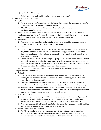

- iv) 5 on 2 off weekly schedule
- v) Daily 1-hour bible study and 1-hour break (aside from meal breaks)
- 5) Riverbend's tools for recruiting
	- a) Flyers
		- i) We have physical, professionally printed 5x7 glossy fliers that can be requested as part of a care package online at **riverbend.camp/recruiting**
		- ii) Pdfs of the same flyer(s) in multiple sizes will be available for you to print at **riverbend.camp/recruiting**
		- b) Banners You can request banners to stick up when recruiting as part of a care package at **riverbend.camp/recruiting**. You may also request the file if you would like to print your own at Staples or another print shop by emailing will at Will@riverbendretreat.org.
	- c) Information
		- i) This recruiting manual, a how and what pitch sheet, verbal recruiting strategy sheet, and cheat sheet are all available at **riverbend.camp/recruiting**
	- d) Miscellaneous
		- i) Tablet if you are without a smart device to scan QR codes and loan to potential staff that may not have their own, or if you are not comfortable using your device in this manner. Riverbend may have a device available to loan you if you can pick it up and return it within an approved timeframe.
		- ii) Games/giveaways IF you are recruiting for a group you will be with for an extended period and need ideas and/or supplies for group games or perhaps something for a door prize, etc. Riverbend may be able to provide these things on a case-by-case basis if you are able to pick them up and return them within an acceptable time window.
		- iii) To request or inquire about any of these items email Will at will@riverbendretreat.org
- 6) Things to consider when recruiting
	- a) Technology
		- i) Only use the technology you are comfortable with. Nothing will kill the potential for a meaningful conversation with potential staff faster than a technology malfunction that visibly flusters or throws you off.
		- ii) Know ahead of time what power and wifi access you will have and make sure you plan accordingly no matter how comfortable you are with the technology you wish to employ.
		- iii) A simple discussion about the wonder of God and His work at Riverbend that leads to a dozen or more names and email addresses scribbled on a piece of notebook paper is far and away preferable to a fruitless endeavor mired by tech issues.
	- b) Practice your pitch
		- i) Just like giving your testimony, you'll be far more comfortable and successful if you're not winging it. Think ahead of time about who you're going to be speaking to and what you believe will be meaningful to them. Then figure out how to say it clearly and quickly.
		- ii) Your attempt could still fall flat and need to be adjusted on the fly, but that transition will be much smoother and easier if you were prepared to begin with.
	- c) Remember why you love Riverbend
		- i) They'll love Riverbend for the same reasons you did. Not that much has changed in a handful of years. Don't shy away from the truth of how hard the work is, or how crazy it can be; just make sure you also tell them about the feelings of accomplishment, the times you